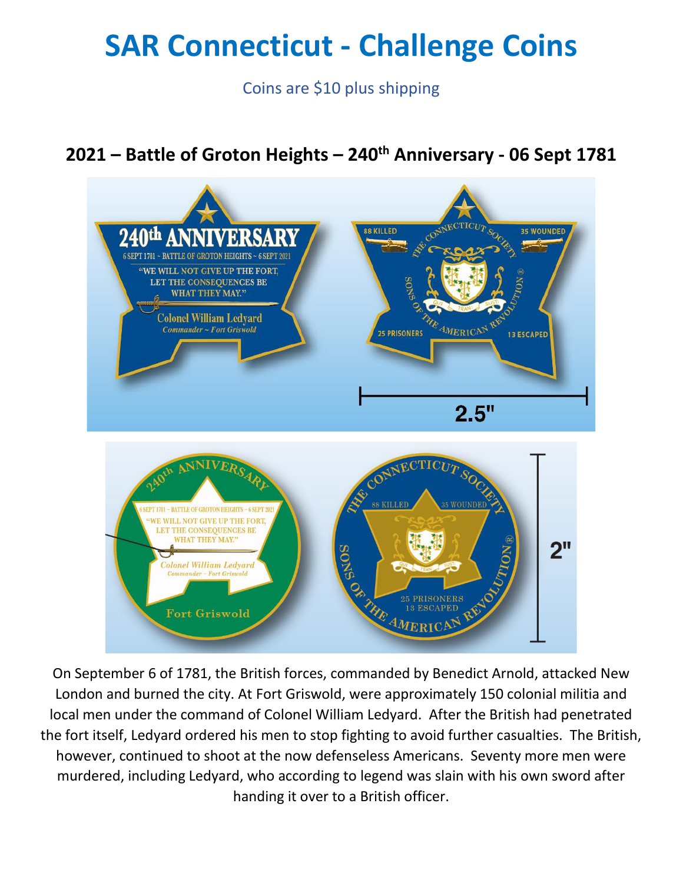# **SAR Connecticut - Challenge Coins**

Coins are \$10 plus shipping

## **2021 – Battle of Groton Heights – 240th Anniversary - 06 Sept 1781**



On September 6 of 1781, the British forces, commanded by Benedict Arnold, attacked New London and burned the city. At Fort Griswold, were approximately 150 colonial militia and local men under the command of Colonel William Ledyard. After the British had penetrated the fort itself, Ledyard ordered his men to stop fighting to avoid further casualties. The British, however, continued to shoot at the now defenseless Americans. Seventy more men were murdered, including Ledyard, who according to legend was slain with his own sword after handing it over to a British officer.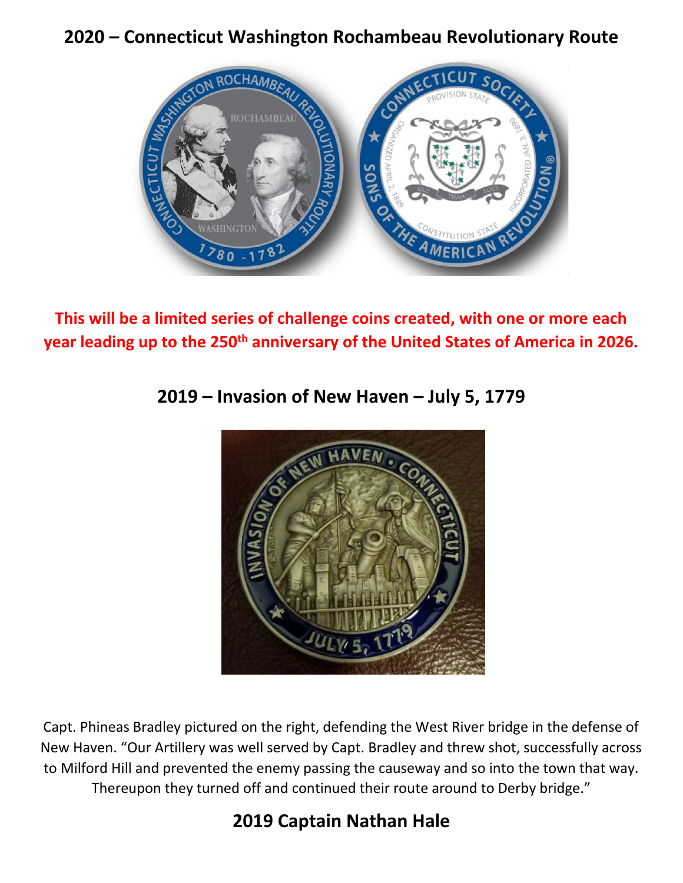#### **2020 – Connecticut Washington Rochambeau Revolutionary Route**



**This will be a limited series of challenge coins created, with one or more each year leading up to the 250th anniversary of the United States of America in 2026.**



#### **2019 – Invasion of New Haven – July 5, 1779**

Capt. Phineas Bradley pictured on the right, defending the West River bridge in the defense of New Haven. "Our Artillery was well served by Capt. Bradley and threw shot, successfully across to Milford Hill and prevented the enemy passing the causeway and so into the town that way. Thereupon they turned off and continued their route around to Derby bridge."

### **2019 Captain Nathan Hale**